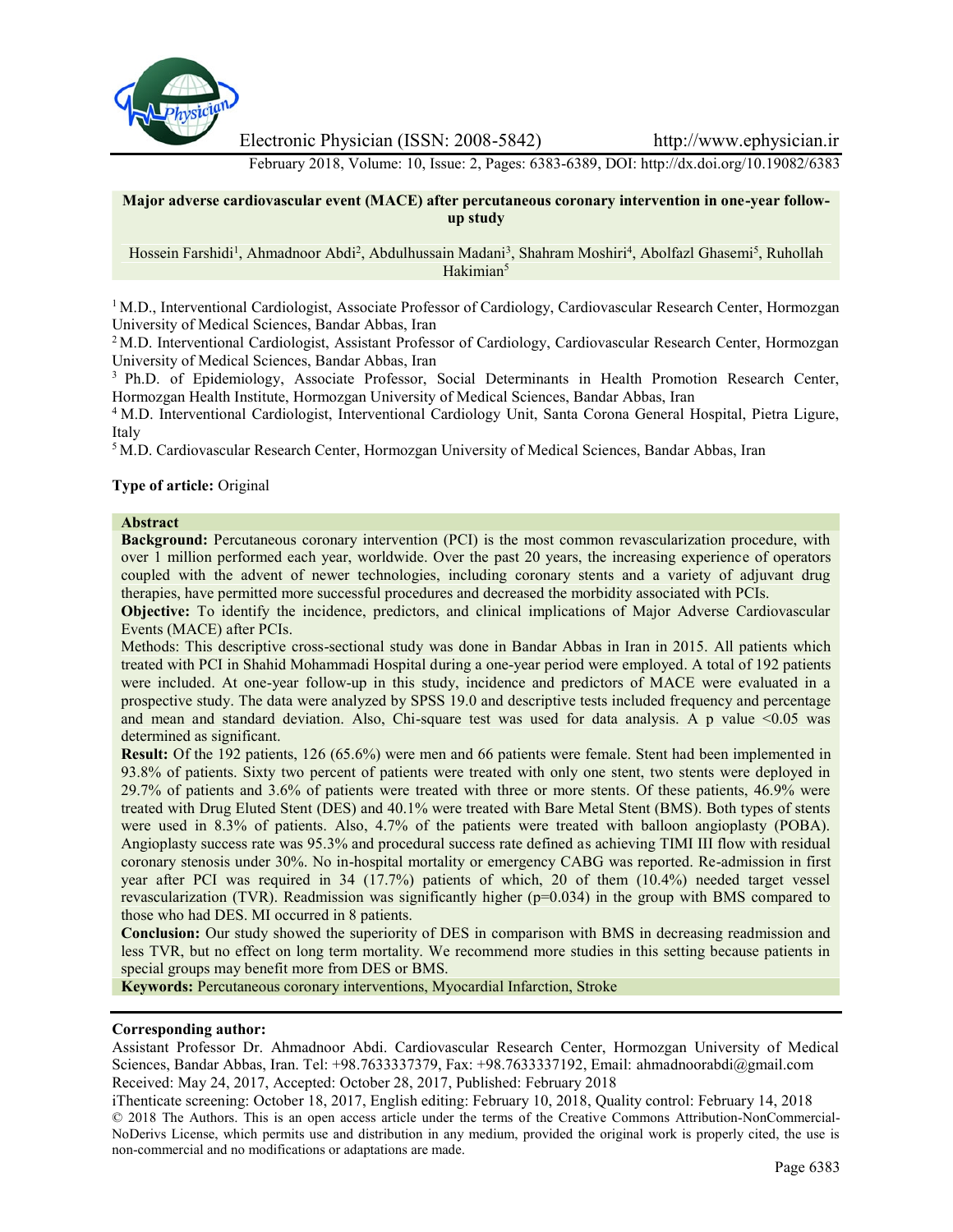

Electronic Physician (ISSN: 2008-5842) http://www.ephysician.ir

February 2018, Volume: 10, Issue: 2, Pages: 6383-6389, DOI: http://dx.doi.org/10.19082/6383

# **Major adverse cardiovascular event (MACE) after percutaneous coronary intervention in one-year follow up study**

### Hossein Farshidi<sup>1</sup>, Ahmadnoor Abdi<sup>2</sup>, Abdulhussain Madani<sup>3</sup>, Shahram Moshiri<sup>4</sup>, Abolfazl Ghasemi<sup>5</sup>, Ruhollah Hakimian<sup>5</sup>

<sup>1</sup> M.D., Interventional Cardiologist, Associate Professor of Cardiology, Cardiovascular Research Center, Hormozgan University of Medical Sciences, Bandar Abbas, Iran

<sup>2</sup> M.D. Interventional Cardiologist, Assistant Professor of Cardiology, Cardiovascular Research Center, Hormozgan University of Medical Sciences, Bandar Abbas, Iran

<sup>3</sup> Ph.D. of Epidemiology, Associate Professor, Social Determinants in Health Promotion Research Center, Hormozgan Health Institute, Hormozgan University of Medical Sciences, Bandar Abbas, Iran

<sup>4</sup> M.D. Interventional Cardiologist, Interventional Cardiology Unit, Santa Corona General Hospital, Pietra Ligure, Italy

<sup>5</sup> M.D. Cardiovascular Research Center, Hormozgan University of Medical Sciences, Bandar Abbas, Iran

# **Type of article:** Original

### **Abstract**

**Background:** Percutaneous coronary intervention (PCI) is the most common revascularization procedure, with over 1 million performed each year, worldwide. Over the past 20 years, the increasing experience of operators coupled with the advent of newer technologies, including coronary stents and a variety of adjuvant drug therapies, have permitted more successful procedures and decreased the morbidity associated with PCIs.

**Objective:** To identify the incidence, predictors, and clinical implications of Major Adverse Cardiovascular Events (MACE) after PCIs.

Methods: This descriptive cross-sectional study was done in Bandar Abbas in Iran in 2015. All patients which treated with PCI in Shahid Mohammadi Hospital during a one-year period were employed. A total of 192 patients were included. At one-year follow-up in this study, incidence and predictors of MACE were evaluated in a prospective study. The data were analyzed by SPSS 19.0 and descriptive tests included frequency and percentage and mean and standard deviation. Also, Chi-square test was used for data analysis. A p value  $\leq 0.05$  was determined as significant.

**Result:** Of the 192 patients, 126 (65.6%) were men and 66 patients were female. Stent had been implemented in 93.8% of patients. Sixty two percent of patients were treated with only one stent, two stents were deployed in 29.7% of patients and 3.6% of patients were treated with three or more stents. Of these patients, 46.9% were treated with Drug Eluted Stent (DES) and 40.1% were treated with Bare Metal Stent (BMS). Both types of stents were used in 8.3% of patients. Also, 4.7% of the patients were treated with balloon angioplasty (POBA). Angioplasty success rate was 95.3% and procedural success rate defined as achieving TIMI III flow with residual coronary stenosis under 30%. No in-hospital mortality or emergency CABG was reported. Re-admission in first year after PCI was required in 34 (17.7%) patients of which, 20 of them (10.4%) needed target vessel revascularization (TVR). Readmission was significantly higher (p=0.034) in the group with BMS compared to those who had DES. MI occurred in 8 patients.

**Conclusion:** Our study showed the superiority of DES in comparison with BMS in decreasing readmission and less TVR, but no effect on long term mortality. We recommend more studies in this setting because patients in special groups may benefit more from DES or BMS.

**Keywords:** Percutaneous coronary interventions, Myocardial Infarction, Stroke

#### **Corresponding author:**

Assistant Professor Dr. Ahmadnoor Abdi. Cardiovascular Research Center, Hormozgan University of Medical Sciences, Bandar Abbas, Iran. Tel: +98.7633337379, Fax: +98.7633337192, Email: ahmadnoorabdi@gmail.com Received: May 24, 2017, Accepted: October 28, 2017, Published: February 2018

iThenticate screening: October 18, 2017, English editing: February 10, 2018, Quality control: February 14, 2018 © 2018 The Authors. This is an open access article under the terms of the Creative Commons Attribution-NonCommercial- NoDerivs License, which permits use and distribution in any medium, provided the original work is properly cited, the use is non-commercial and no modifications or adaptations are made.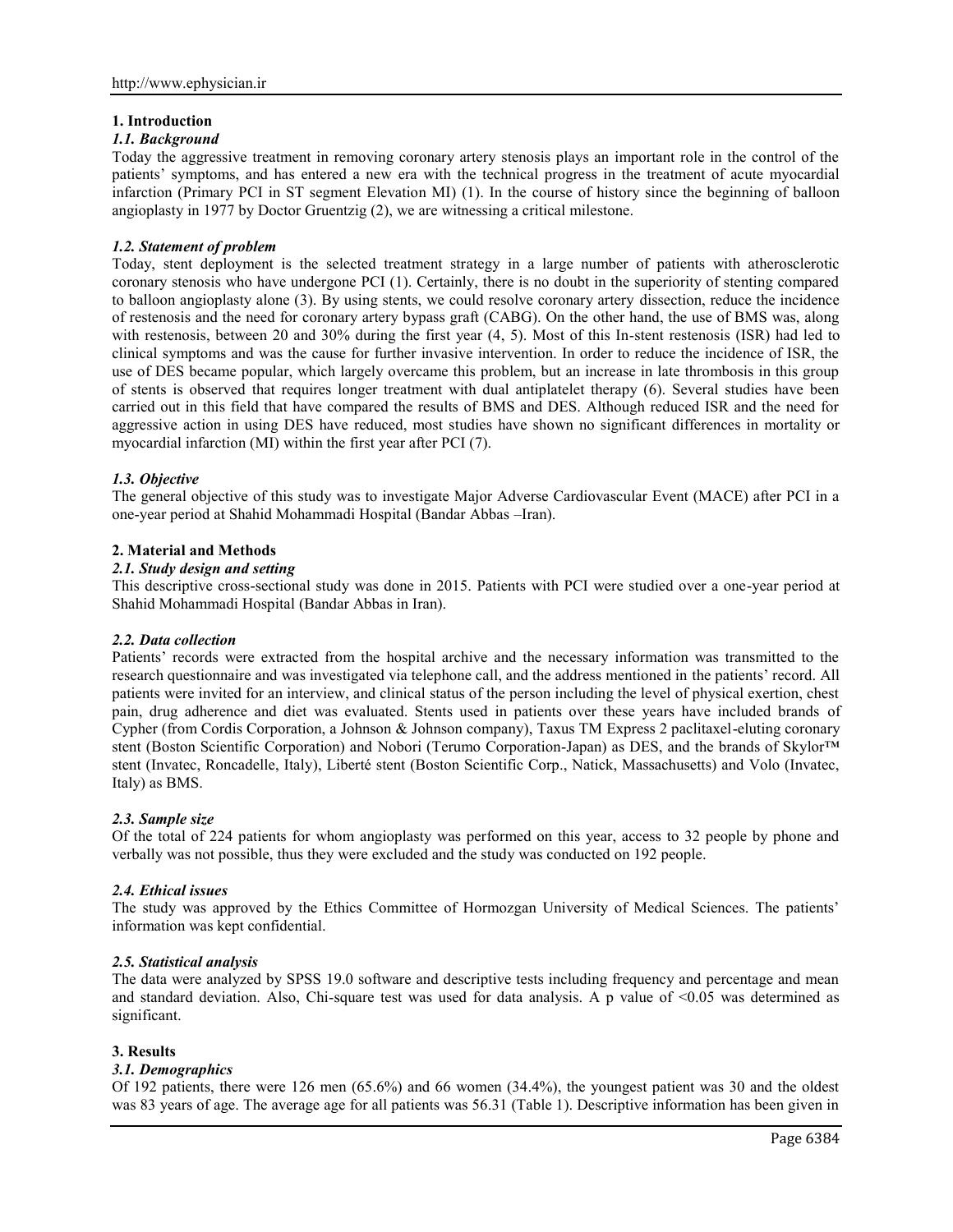### **1. Introduction**

### *1.1. Background*

Today the aggressive treatment in removing coronary artery stenosis plays an important role in the control of the patients' symptoms, and has entered a new era with the technical progress in the treatment of acute myocardial infarction (Primary PCI in ST segment Elevation MI) (1). In the course of history since the beginning of balloon angioplasty in 1977 by Doctor Gruentzig (2), we are witnessing a critical milestone.

### *1.2. Statement of problem*

Today, stent deployment is the selected treatment strategy in a large number of patients with atherosclerotic coronary stenosis who have undergone PCI (1). Certainly, there is no doubt in the superiority of stenting compared to balloon angioplasty alone (3). By using stents, we could resolve coronary artery dissection, reduce the incidence of restenosis and the need for coronary artery bypass graft (CABG). On the other hand, the use of BMS was, along with restenosis, between 20 and 30% during the first year (4, 5). Most of this In-stent restenosis (ISR) had led to clinical symptoms and was the cause for further invasive intervention. In order to reduce the incidence of ISR, the use of DES became popular, which largely overcame this problem, but an increase in late thrombosis in this group of stents is observed that requires longer treatment with dual antiplatelet therapy (6). Several studies have been carried out in this field that have compared the results of BMS and DES. Although reduced ISR and the need for aggressive action in using DES have reduced, most studies have shown no significant differences in mortality or myocardial infarction (MI) within the first year after PCI (7).

### *1.3. Objective*

The general objective of this study was to investigate Major Adverse Cardiovascular Event (MACE) after PCI in a one-year period at Shahid Mohammadi Hospital (Bandar Abbas –Iran).

#### **2. Material and Methods**

### *2.1. Study design and setting*

This descriptive cross-sectional study was done in 2015. Patients with PCI were studied over a one-year period at Shahid Mohammadi Hospital (Bandar Abbas in Iran).

#### *2.2. Data collection*

Patients' records were extracted from the hospital archive and the necessary information was transmitted to the research questionnaire and was investigated via telephone call, and the address mentioned in the patients' record. All patients were invited for an interview, and clinical status of the person including the level of physical exertion, chest pain, drug adherence and diet was evaluated. Stents used in patients over these years have included brands of Cypher (from Cordis Corporation, a Johnson & Johnson company), Taxus TM Express 2 paclitaxel-eluting coronary stent (Boston Scientific Corporation) and Nobori (Terumo Corporation-Japan) as DES, and the brands of Skylor<sup>™</sup> stent (Invatec, Roncadelle, Italy), Liberté stent (Boston Scientific Corp., Natick, Massachusetts) and Volo (Invatec, Italy) as BMS.

#### *2.3. Sample size*

Of the total of 224 patients for whom angioplasty was performed on this year, access to 32 people by phone and verbally was not possible, thus they were excluded and the study was conducted on 192 people.

#### *2.4. Ethical issues*

The study was approved by the Ethics Committee of Hormozgan University of Medical Sciences. The patients' information was kept confidential.

#### *2.5. Statistical analysis*

The data were analyzed by SPSS 19.0 software and descriptive tests including frequency and percentage and mean and standard deviation. Also, Chi-square test was used for data analysis. A p value of <0.05 was determined as significant.

# **3. Results**

# *3.1. Demographics*

Of 192 patients, there were 126 men (65.6%) and 66 women (34.4%), the youngest patient was 30 and the oldest was 83 years of age. The average age for all patients was 56.31 (Table 1). Descriptive information has been given in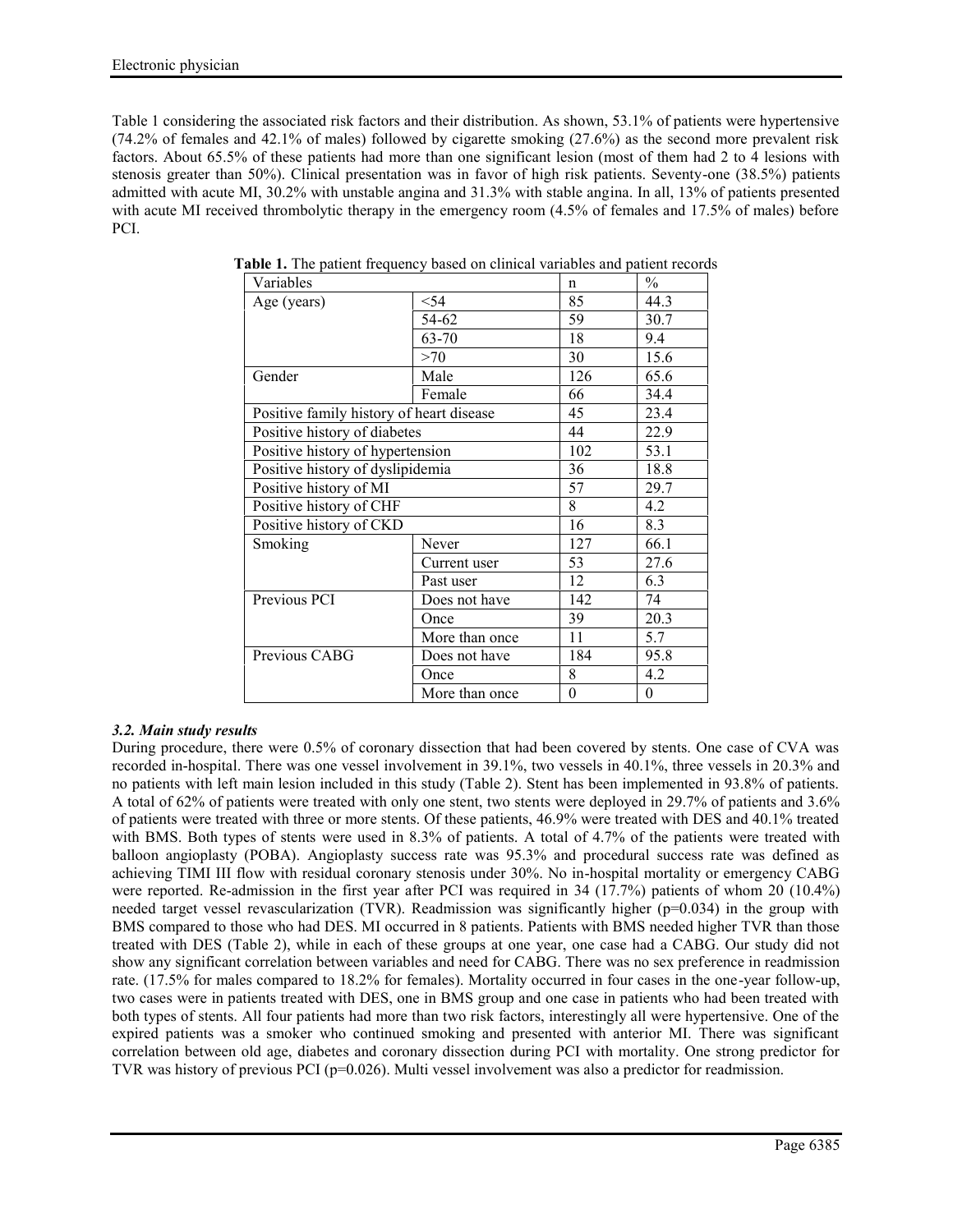Table 1 considering the associated risk factors and their distribution. As shown, 53.1% of patients were hypertensive (74.2% of females and 42.1% of males) followed by cigarette smoking (27.6%) as the second more prevalent risk factors. About 65.5% of these patients had more than one significant lesion (most of them had 2 to 4 lesions with stenosis greater than 50%). Clinical presentation was in favor of high risk patients. Seventy-one (38.5%) patients admitted with acute MI, 30.2% with unstable angina and 31.3% with stable angina. In all, 13% of patients presented with acute MI received thrombolytic therapy in the emergency room  $(4.5\%$  of females and 17.5% of males) before PCI.

| Variables                                |                | n        | $\%$     |
|------------------------------------------|----------------|----------|----------|
| Age (years)                              | $<$ 54         | 85       | 44.3     |
|                                          | 54-62          | 59       | 30.7     |
|                                          | 63-70          | 18       | 9.4      |
|                                          | >70            | 30       | 15.6     |
| Gender                                   | Male           | 126      | 65.6     |
|                                          | Female         | 66       | 34.4     |
| Positive family history of heart disease |                | 45       | 23.4     |
| Positive history of diabetes             |                | 44       | 22.9     |
| Positive history of hypertension         |                | 102      | 53.1     |
| Positive history of dyslipidemia         |                | 36       | 18.8     |
| Positive history of MI                   |                | 57       | 29.7     |
| Positive history of CHF                  |                | 8        | 4.2      |
| Positive history of CKD                  |                | 16       | 8.3      |
| Smoking                                  | Never          | 127      | 66.1     |
|                                          | Current user   | 53       | 27.6     |
|                                          | Past user      | 12       | 6.3      |
| Previous PCI                             | Does not have  | 142      | 74       |
|                                          | Once           | 39       | 20.3     |
|                                          | More than once | 11       | 5.7      |
| Previous CABG                            | Does not have  | 184      | 95.8     |
|                                          | Once           | 8        | 4.2      |
|                                          | More than once | $\theta$ | $\theta$ |

**Table 1.** The patient frequency based on clinical variables and patient records

# *3.2. Main study results*

During procedure, there were 0.5% of coronary dissection that had been covered by stents. One case of CVA was recorded in-hospital. There was one vessel involvement in 39.1%, two vessels in 40.1%, three vessels in 20.3% and no patients with left main lesion included in this study (Table 2). Stent has been implemented in 93.8% of patients. A total of 62% of patients were treated with only one stent, two stents were deployed in 29.7% of patients and 3.6% of patients were treated with three or more stents. Of these patients, 46.9% were treated with DES and 40.1% treated with BMS. Both types of stents were used in 8.3% of patients. A total of 4.7% of the patients were treated with balloon angioplasty (POBA). Angioplasty success rate was 95.3% and procedural success rate was defined as achieving TIMI III flow with residual coronary stenosis under 30%. No in-hospital mortality or emergency CABG were reported. Re-admission in the first year after PCI was required in 34 (17.7%) patients of whom 20 (10.4%) needed target vessel revascularization (TVR). Readmission was significantly higher (p=0.034) in the group with BMS compared to those who had DES. MI occurred in 8 patients. Patients with BMS needed higher TVR than those treated with DES (Table 2), while in each of these groups at one year, one case had a CABG. Our study did not show any significant correlation between variables and need for CABG. There was no sex preference in readmission rate. (17.5% for males compared to 18.2% for females). Mortality occurred in four cases in the one-year follow-up, two cases were in patients treated with DES, one in BMS group and one case in patients who had been treated with both types of stents. All four patients had more than two risk factors, interestingly all were hypertensive. One of the expired patients was a smoker who continued smoking and presented with anterior MI. There was significant correlation between old age, diabetes and coronary dissection during PCI with mortality. One strong predictor for TVR was history of previous PCI (p=0.026). Multi vessel involvement was also a predictor for readmission.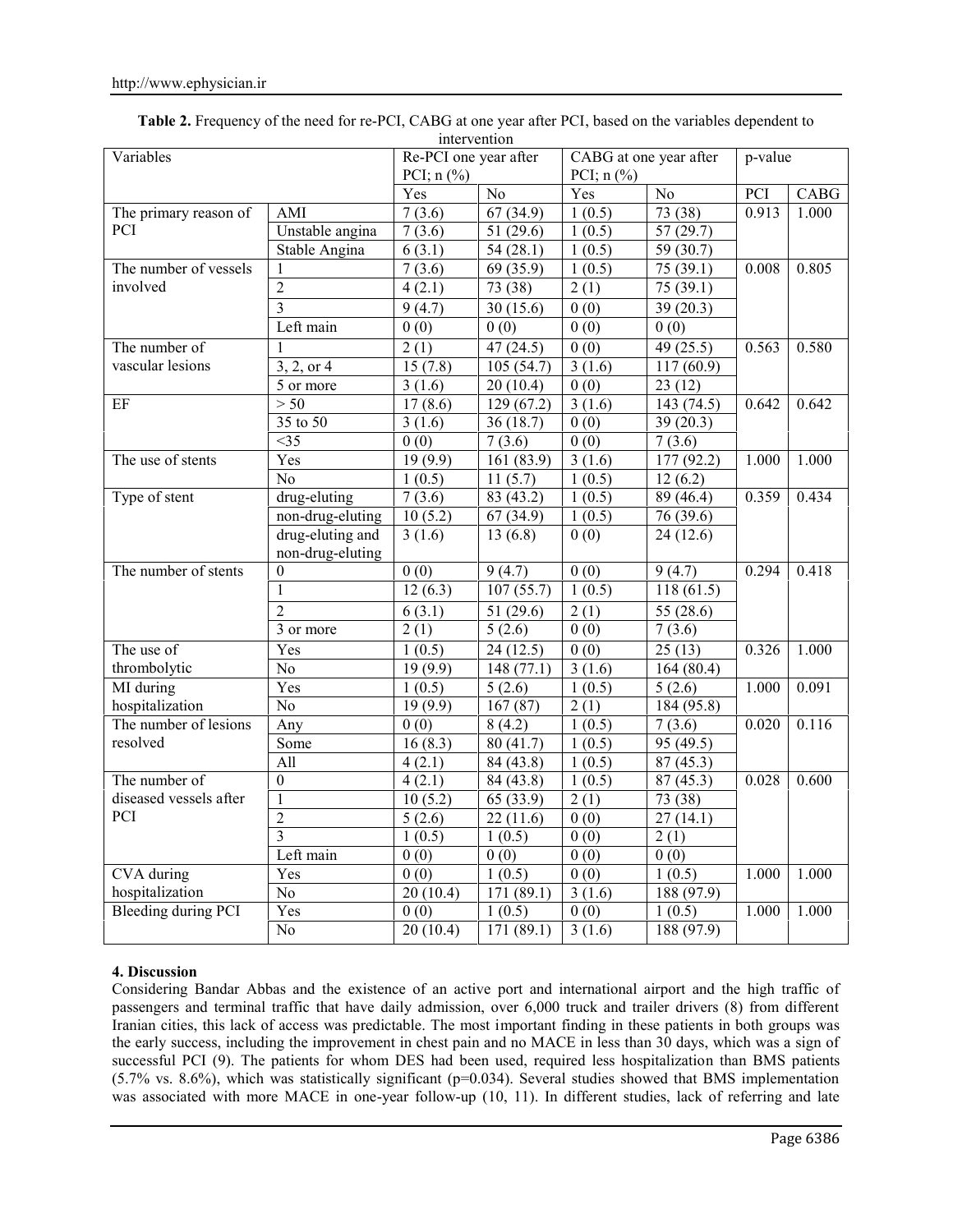| Variables                  |                     | 111101 v 01111011<br>Re-PCI one year after<br>PCI; $n$ (%) |                         | CABG at one year after<br>PCI; $n$ (%) |                          | p-value |       |
|----------------------------|---------------------|------------------------------------------------------------|-------------------------|----------------------------------------|--------------------------|---------|-------|
|                            |                     | $\overline{Y}$ es                                          | $\overline{No}$         | Yes                                    | $\overline{No}$          | PCI     | CABG  |
| The primary reason of      | AMI                 | 7(3.6)                                                     | 67(34.9)                | 1(0.5)                                 | $\overline{73(38)}$      | 0.913   | 1.000 |
| PCI                        | Unstable angina     | 7(3.6)                                                     | 51(29.6)                | 1(0.5)                                 | 57(29.7)                 |         |       |
|                            | Stable Angina       | 6(3.1)                                                     | 54(28.1)                | 1(0.5)                                 | 59 (30.7)                |         |       |
| The number of vessels      | $\mathbf{1}$        | 7(3.6)                                                     | 69 (35.9)               | 1(0.5)                                 | 75(39.1)                 | 0.008   | 0.805 |
| involved                   | $\overline{2}$      | 4(2.1)                                                     | 73 (38)                 | $\overline{2}$ (1)                     | 75(39.1)                 |         |       |
|                            | $\overline{3}$      | 9(4.7)                                                     | 30(15.6)                | $\overline{0(0)}$                      | 39(20.3)                 |         |       |
|                            | Left main           | 0(0)                                                       | 0(0)                    | 0(0)                                   | 0(0)                     |         |       |
| The number of              | 1                   | 2(1)                                                       | 47(24.5)                | 0(0)                                   | 49 $(25.5)$              | 0.563   | 0.580 |
| vascular lesions           | 3, 2, or 4          | 15(7.8)                                                    | 105(54.7)               | 3(1.6)                                 | 117(60.9)                |         |       |
|                            | 5 or more           | 3(1.6)                                                     | 20(10.4)                | $\overline{0(0)}$                      | 23(12)                   |         |       |
| $\rm EF$                   | > 50                | 17(8.6)                                                    | 129(67.2)               | 3(1.6)                                 | $\overline{1}$ 43 (74.5) | 0.642   | 0.642 |
|                            | 35 to 50            | 3(1.6)                                                     | 36(18.7)                | 0(0)                                   | 39(20.3)                 |         |       |
|                            | $\overline{\leq}35$ | 0(0)                                                       | 7(3.6)                  | 0(0)                                   | 7(3.6)                   |         |       |
| The use of stents          | Yes                 | 19(9.9)                                                    | 161(83.9)               | 3(1.6)                                 | 177 (92.2)               | 1.000   | 1.000 |
|                            | N <sub>o</sub>      | 1(0.5)                                                     | 11(5.7)                 | 1(0.5)                                 | 12(6.2)                  |         |       |
| Type of stent              | drug-eluting        | 7(3.6)                                                     | 83(43.2)                | 1(0.5)                                 | 89(46.4)                 | 0.359   | 0.434 |
|                            | non-drug-eluting    | 10(5.2)                                                    | 67(34.9)                | 1(0.5)                                 | 76 (39.6)                |         |       |
|                            | drug-eluting and    | 3(1.6)                                                     | 13(6.8)                 | 0(0)                                   | 24(12.6)                 |         |       |
|                            | non-drug-eluting    |                                                            |                         |                                        |                          |         |       |
| The number of stents       | $\boldsymbol{0}$    | 0(0)                                                       | 9(4.7)                  | 0(0)                                   | 9(4.7)                   | 0.294   | 0.418 |
|                            | $\mathbf{1}$        | 12(6.3)                                                    | $\overline{107}$ (55.7) | 1(0.5)                                 | 118(61.5)                |         |       |
|                            | $\overline{2}$      | 6(3.1)                                                     | 51(29.6)                | 2(1)                                   | 55 $(28.6)$              |         |       |
|                            | 3 or more           | 2(1)                                                       | 5(2.6)                  | $\overline{0(0)}$                      | 7(3.6)                   |         |       |
| The use of                 | Yes                 | 1(0.5)                                                     | 24(12.5)                | 0(0)                                   | $\overline{25}$ (13)     | 0.326   | 1.000 |
| thrombolytic               | N <sub>o</sub>      | 19(9.9)                                                    | 148(77.1)               | 3(1.6)                                 | 164(80.4)                |         |       |
| MI during                  | Yes                 | 1(0.5)                                                     | 5(2.6)                  | 1(0.5)                                 | 5(2.6)                   | 1.000   | 0.091 |
| hospitalization            | $\overline{No}$     | 19(9.9)                                                    | 167(87)                 | 2(1)                                   | 184 (95.8)               |         |       |
| The number of lesions      | Any                 | 0(0)                                                       | 8(4.2)                  | 1(0.5)                                 | 7(3.6)                   | 0.020   | 0.116 |
| resolved                   | Some                | 16(8.3)                                                    | 80(41.7)                | 1(0.5)                                 | 95 (49.5)                |         |       |
|                            | $\overline{All}$    | 4(2.1)                                                     | 84 (43.8)               | 1(0.5)                                 | 87(45.3)                 |         |       |
| The number of              | $\overline{0}$      | 4(2.1)                                                     | 84 (43.8)               | 1(0.5)                                 | 87(45.3)                 | 0.028   | 0.600 |
| diseased vessels after     | $\mathbf{1}$        | 10(5.2)                                                    | 65(33.9)                | $\overline{2}$ (1)                     | $\overline{7}3(38)$      |         |       |
| PCI                        | $\overline{2}$      | 5(2.6)                                                     | 22(11.6)                | 0(0)                                   | 27(14.1)                 |         |       |
|                            | $\overline{3}$      | 1(0.5)                                                     | 1(0.5)                  | 0(0)                                   | 2(1)                     |         |       |
|                            | Left main           | 0(0)                                                       | 0(0)                    | 0(0)                                   | 0(0)                     |         |       |
| CVA during                 | Yes                 | 0(0)                                                       | 1(0.5)                  | 0(0)                                   | 1(0.5)                   | 1.000   | 1.000 |
| hospitalization            | $\rm No$            | 20(10.4)                                                   | 171(89.1)               | 3(1.6)                                 | 188 (97.9)               |         |       |
| <b>Bleeding during PCI</b> | Yes                 | 0(0)                                                       | 1(0.5)                  | 0(0)                                   | 1(0.5)                   | 1.000   | 1.000 |
|                            | No                  | 20(10.4)                                                   | 171(89.1)               | 3(1.6)                                 | 188 (97.9)               |         |       |
|                            |                     |                                                            |                         |                                        |                          |         |       |

#### **Table 2.** Frequency of the need for re-PCI, CABG at one year after PCI, based on the variables dependent to intervention

# **4. Discussion**

Considering Bandar Abbas and the existence of an active port and international airport and the high traffic of passengers and terminal traffic that have daily admission, over 6,000 truck and trailer drivers (8) from different Iranian cities, this lack of access was predictable. The most important finding in these patients in both groups was the early success, including the improvement in chest pain and no MACE in less than 30 days, which was a sign of successful PCI (9). The patients for whom DES had been used, required less hospitalization than BMS patients (5.7% vs. 8.6%), which was statistically significant (p=0.034). Several studies showed that BMS implementation was associated with more MACE in one-year follow-up (10, 11). In different studies, lack of referring and late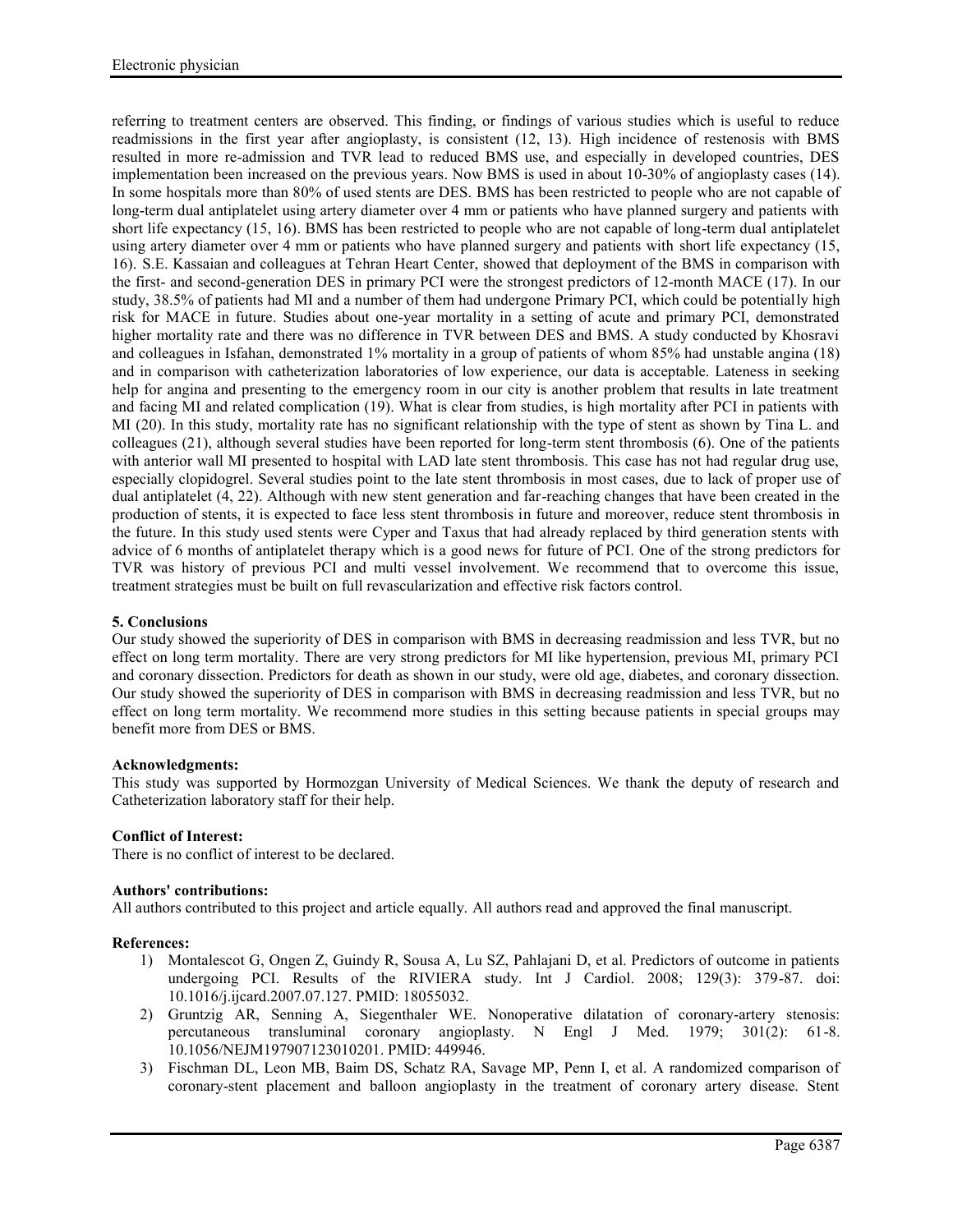referring to treatment centers are observed. This finding, or findings of various studies which is useful to reduce readmissions in the first year after angioplasty, is consistent (12, 13). High incidence of restenosis with BMS resulted in more re-admission and TVR lead to reduced BMS use, and especially in developed countries, DES implementation been increased on the previous years. Now BMS is used in about 10-30% of angioplasty cases (14). In some hospitals more than 80% of used stents are DES. BMS has been restricted to people who are not capable of long-term dual antiplatelet using artery diameter over 4 mm or patients who have planned surgery and patients with short life expectancy (15, 16). BMS has been restricted to people who are not capable of long-term dual antiplatelet using artery diameter over 4 mm or patients who have planned surgery and patients with short life expectancy (15, 16). S.E. Kassaian and colleagues at Tehran Heart Center, showed that deployment of the BMS in comparison with the first- and second-generation DES in primary PCI were the strongest predictors of 12-month MACE (17). In our study, 38.5% of patients had MI and a number of them had undergone Primary PCI, which could be potentially high risk for MACE in future. Studies about one-year mortality in a setting of acute and primary PCI, demonstrated higher mortality rate and there was no difference in TVR between DES and BMS. A study conducted by Khosravi and colleagues in Isfahan, demonstrated 1% mortality in a group of patients of whom 85% had unstable angina (18) and in comparison with catheterization laboratories of low experience, our data is acceptable. Lateness in seeking help for angina and presenting to the emergency room in our city is another problem that results in late treatment and facing MI and related complication (19). What is clear from studies, is high mortality after PCI in patients with MI (20). In this study, mortality rate has no significant relationship with the type of stent as shown by Tina L. and colleagues (21), although several studies have been reported for long-term stent thrombosis (6). One of the patients with anterior wall MI presented to hospital with LAD late stent thrombosis. This case has not had regular drug use, especially clopidogrel. Several studies point to the late stent thrombosis in most cases, due to lack of proper use of dual antiplatelet (4, 22). Although with new stent generation and far-reaching changes that have been created in the production of stents, it is expected to face less stent thrombosis in future and moreover, reduce stent thrombosis in the future. In this study used stents were Cyper and Taxus that had already replaced by third generation stents with advice of 6 months of antiplatelet therapy which is a good news for future of PCI. One of the strong predictors for TVR was history of previous PCI and multi vessel involvement. We recommend that to overcome this issue, treatment strategies must be built on full revascularization and effective risk factors control.

# **5. Conclusions**

Our study showed the superiority of DES in comparison with BMS in decreasing readmission and less TVR, but no effect on long term mortality. There are very strong predictors for MI like hypertension, previous MI, primary PCI and coronary dissection. Predictors for death as shown in our study, were old age, diabetes, and coronary dissection. Our study showed the superiority of DES in comparison with BMS in decreasing readmission and less TVR, but no effect on long term mortality. We recommend more studies in this setting because patients in special groups may benefit more from DES or BMS.

#### **Acknowledgments:**

This study was supported by Hormozgan University of Medical Sciences. We thank the deputy of research and Catheterization laboratory staff for their help.

#### **Conflict of Interest:**

There is no conflict of interest to be declared.

#### **Authors' contributions:**

All authors contributed to this project and article equally. All authors read and approved the final manuscript.

#### **References:**

- 1) Montalescot G, Ongen Z, Guindy R, Sousa A, Lu SZ, Pahlajani D, et al. Predictors of outcome in patients undergoing PCI. Results of the RIVIERA study. Int J Cardiol. 2008; 129(3): 379-87. doi: 10.1016/j.ijcard.2007.07.127. PMID: 18055032.
- 2) Gruntzig AR, Senning A, Siegenthaler WE. Nonoperative dilatation of coronary-artery stenosis: percutaneous transluminal coronary angioplasty. N Engl J Med. 1979; 301(2): 61-8. 10.1056/NEJM197907123010201. PMID: 449946.
- 3) Fischman DL, Leon MB, Baim DS, Schatz RA, Savage MP, Penn I, et al. A randomized comparison of coronary-stent placement and balloon angioplasty in the treatment of coronary artery disease. Stent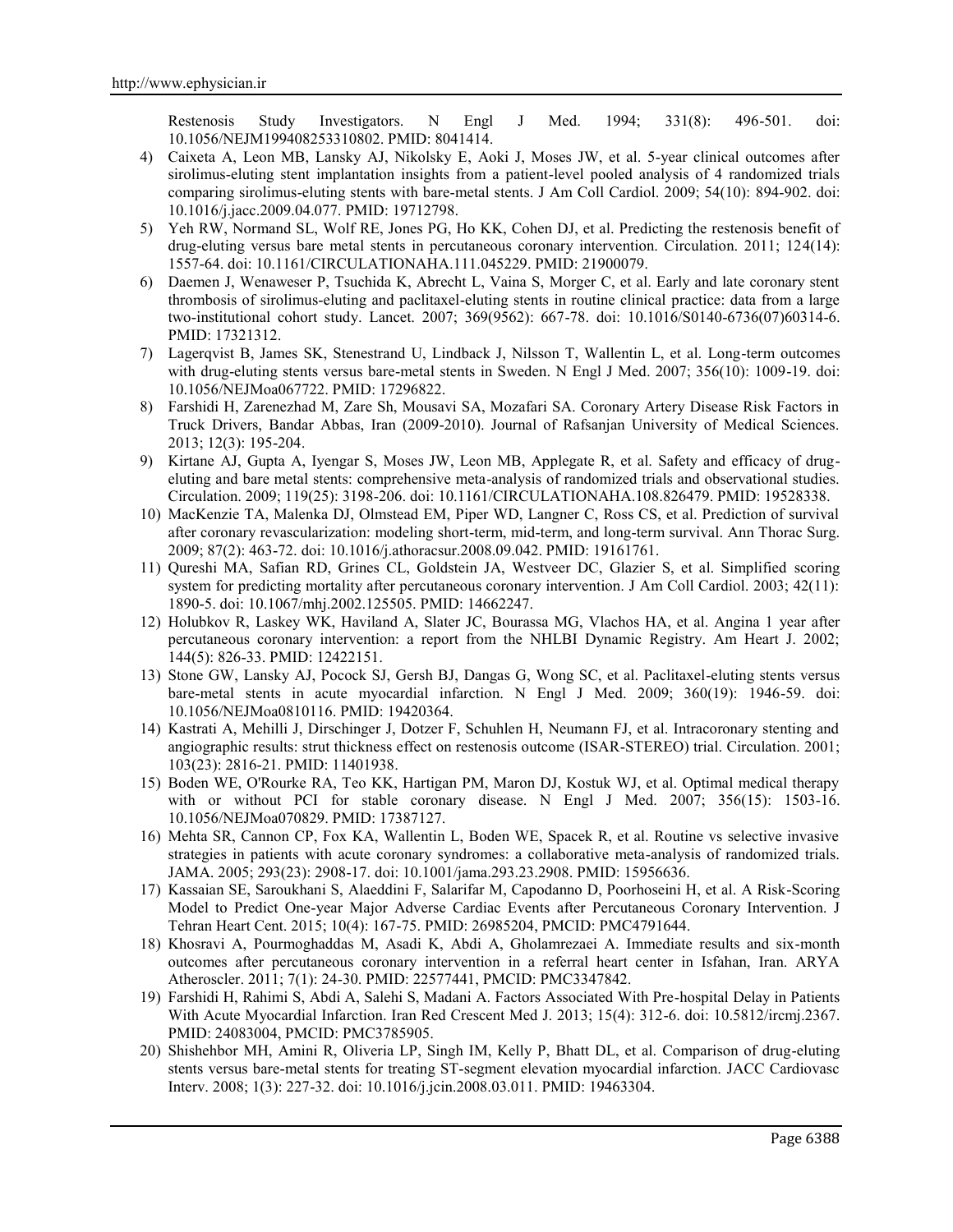Restenosis Study Investigators. N Engl J Med. 1994; 331(8): 496-501. doi: 10.1056/NEJM199408253310802. PMID: 8041414.

- 4) Caixeta A, Leon MB, Lansky AJ, Nikolsky E, Aoki J, Moses JW, et al. 5-year clinical outcomes after sirolimus-eluting stent implantation insights from a patient-level pooled analysis of 4 randomized trials comparing sirolimus-eluting stents with bare-metal stents. J Am Coll Cardiol. 2009; 54(10): 894-902. doi: 10.1016/j.jacc.2009.04.077. PMID: 19712798.
- 5) Yeh RW, Normand SL, Wolf RE, Jones PG, Ho KK, Cohen DJ, et al. Predicting the restenosis benefit of drug-eluting versus bare metal stents in percutaneous coronary intervention. Circulation. 2011; 124(14): 1557-64. doi: 10.1161/CIRCULATIONAHA.111.045229. PMID: 21900079.
- 6) Daemen J, Wenaweser P, Tsuchida K, Abrecht L, Vaina S, Morger C, et al. Early and late coronary stent thrombosis of sirolimus-eluting and paclitaxel-eluting stents in routine clinical practice: data from a large two-institutional cohort study. Lancet. 2007; 369(9562): 667-78. doi: 10.1016/S0140-6736(07)60314-6. PMID: 17321312.
- 7) Lagerqvist B, James SK, Stenestrand U, Lindback J, Nilsson T, Wallentin L, et al. Long-term outcomes with drug-eluting stents versus bare-metal stents in Sweden. N Engl J Med. 2007; 356(10): 1009-19. doi: 10.1056/NEJMoa067722. PMID: 17296822.
- 8) Farshidi H, Zarenezhad M, Zare Sh, Mousavi SA, Mozafari SA. Coronary Artery Disease Risk Factors in Truck Drivers, Bandar Abbas, Iran (2009-2010). Journal of Rafsanjan University of Medical Sciences. 2013; 12(3): 195-204.
- 9) Kirtane AJ, Gupta A, Iyengar S, Moses JW, Leon MB, Applegate R, et al. Safety and efficacy of drug eluting and bare metal stents: comprehensive meta-analysis of randomized trials and observational studies. Circulation. 2009; 119(25): 3198-206. doi: 10.1161/CIRCULATIONAHA.108.826479. PMID: 19528338.
- 10) MacKenzie TA, Malenka DJ, Olmstead EM, Piper WD, Langner C, Ross CS, et al. Prediction of survival after coronary revascularization: modeling short-term, mid-term, and long-term survival. Ann Thorac Surg. 2009; 87(2): 463-72. doi: 10.1016/j.athoracsur.2008.09.042. PMID: 19161761.
- 11) Qureshi MA, Safian RD, Grines CL, Goldstein JA, Westveer DC, Glazier S, et al. Simplified scoring system for predicting mortality after percutaneous coronary intervention. J Am Coll Cardiol. 2003; 42(11): 1890-5. doi: 10.1067/mhj.2002.125505. PMID: 14662247.
- 12) Holubkov R, Laskey WK, Haviland A, Slater JC, Bourassa MG, Vlachos HA, et al. Angina 1 year after percutaneous coronary intervention: a report from the NHLBI Dynamic Registry. Am Heart J. 2002; 144(5): 826-33. PMID: 12422151.
- 13) Stone GW, Lansky AJ, Pocock SJ, Gersh BJ, Dangas G, Wong SC, et al. Paclitaxel-eluting stents versus bare-metal stents in acute myocardial infarction. N Engl J Med. 2009; 360(19): 1946-59. doi: 10.1056/NEJMoa0810116. PMID: 19420364.
- 14) Kastrati A, Mehilli J, Dirschinger J, Dotzer F, Schuhlen H, Neumann FJ, et al. Intracoronary stenting and angiographic results: strut thickness effect on restenosis outcome (ISAR-STEREO) trial. Circulation. 2001; 103(23): 2816-21. PMID: 11401938.
- 15) Boden WE, O'Rourke RA, Teo KK, Hartigan PM, Maron DJ, Kostuk WJ, et al. Optimal medical therapy with or without PCI for stable coronary disease. N Engl J Med. 2007; 356(15): 1503-16. 10.1056/NEJMoa070829. PMID: 17387127.
- 16) Mehta SR, Cannon CP, Fox KA, Wallentin L, Boden WE, Spacek R, et al. Routine vs selective invasive strategies in patients with acute coronary syndromes: a collaborative meta-analysis of randomized trials. JAMA. 2005; 293(23): 2908-17. doi: 10.1001/jama.293.23.2908. PMID: 15956636.
- 17) Kassaian SE, Saroukhani S, Alaeddini F, Salarifar M, Capodanno D, Poorhoseini H, et al. A Risk-Scoring Model to Predict One-year Major Adverse Cardiac Events after Percutaneous Coronary Intervention. J Tehran Heart Cent. 2015; 10(4): 167-75. PMID: 26985204, PMCID: PMC4791644.
- 18) Khosravi A, Pourmoghaddas M, Asadi K, Abdi A, Gholamrezaei A. Immediate results and six-month outcomes after percutaneous coronary intervention in a referral heart center in Isfahan, Iran. ARYA Atheroscler. 2011; 7(1): 24-30. PMID: 22577441, PMCID: PMC3347842.
- 19) Farshidi H, Rahimi S, Abdi A, Salehi S, Madani A. Factors Associated With Pre-hospital Delay in Patients With Acute Myocardial Infarction. Iran Red Crescent Med J. 2013; 15(4): 312-6. doi: 10.5812/ircmj.2367. PMID: 24083004, PMCID: PMC3785905.
- 20) Shishehbor MH, Amini R, Oliveria LP, Singh IM, Kelly P, Bhatt DL, et al. Comparison of drug-eluting stents versus bare-metal stents for treating ST-segment elevation myocardial infarction. JACC Cardiovasc Interv. 2008; 1(3): 227-32. doi: 10.1016/j.jcin.2008.03.011. PMID: 19463304.